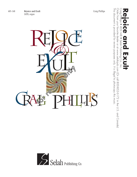

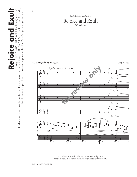

This document is provided for review purposes only. *It is illegal to photocopy this music.*

This document is provided for review purposes only. It is illegal to photocopy this music.

2

## Rejoice and Exult SATB and organ *for Mark Denton and Joe Becci*

Zephaniah 3:14b–15, 17–19, alt. Craig Phillips



Copyright © 2011 Selah Publishing Co., Inc. www.selahpub.com Printed in the U.S.A. on recycled paper. *It is illegal to photocopy this music.*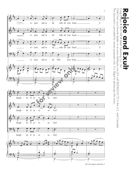

<sup>405-148–</sup>Rejoice and Exult–3

## Craig<br>- Gig R**eig Pice and Exult**<br>Craig Philips • 405-148 • Selah Publishing Co., Inc.  $\overline{\mathbf{C}}$  $\overline{5}$ 405-P  $-148$ Selah Publishing  $\bigcirc$  $\overline{\overline{C}}$ .

This document is provided for review purposes only.

This document is provided for review purposes only. It is illegal to photocopy this music.

Order from your favorite dealer or at www.selahpub.com (Or call 800-852-6172 in the U.S. and Canada)

Order from your favorite dealer or at www.selahpub.com (Or call 800-852-6172 in the U.S. and Canada)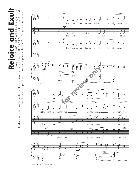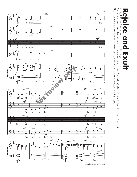

Craig Philips • 405-148 • Selah Publishing Co., Inc.<br>Order from your favorite dealer or at www.selahpub.com (Or call 800-852-6172 in the U.S. and Canada)<br>This document is provided for review purposes only It is illegal to R**eig Pice and Exult**<br>Craig Philips • 405-148 • Selah Publishing Co., Inc. D

This document is provided for review purposes only.

This document is provided for review purposes only. It is illegal to photocopy this music.

Order from your favorite dealer or at www.selahpub.com (Or call 800-852-6172 in the U.S. and Canada)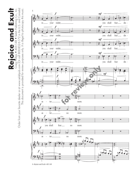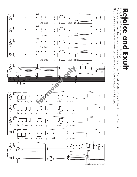

Order from your favorite dealer or at www.selahpub.com (Or call 800-852-6172 in the U.S. and Canada) Order from your favorite dealer or at www.selahpub.com (Or call 800-852-6172 in the U.S. and Canada) R**eig Pice and Exult**<br>Craig Philips • 405-148 • Selah Publishing Co., Inc. **DS** 405-148  $\bullet$ D Selah Publishing  $\bigcirc$  $\overline{\overline{C}}$ .

This document is provided for review purposes only.

This document is provided for review purposes only. It is illegal to photocopy this music.

*It is illegal to photocopy this music.*

405-148–Rejoice and Exult–7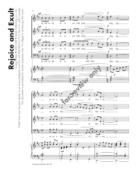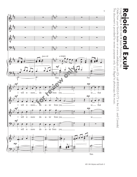

This document is provided for review purposes only.

This document is provided for review purposes only. It is illegal to photocopy this music.

Order from your favorite dealer or at www.selahpub.com (Or call 800-852-6172 in the U.S. and Canada)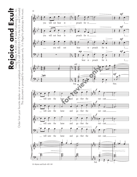

10–Rejoice and Exult–405-148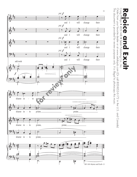

Craig Philips ● 405-148 ● Selah Publishing Co., Inc.<br>Order from your favorite dealer or at www.selahpub.com (Or call 800-852-6172 in the U.S. and Canada)<br>This document is provided for review purposes only. It is illegal t Order from your favorite dealer or at www.selahpub.com (Or call 800-852-6172 in the U.S. and Canada) R**eig Pice and Exult**<br>Craig Philips • 405-148 • Selah Publishing Co., Inc. P

This document is provided for review purposes only.